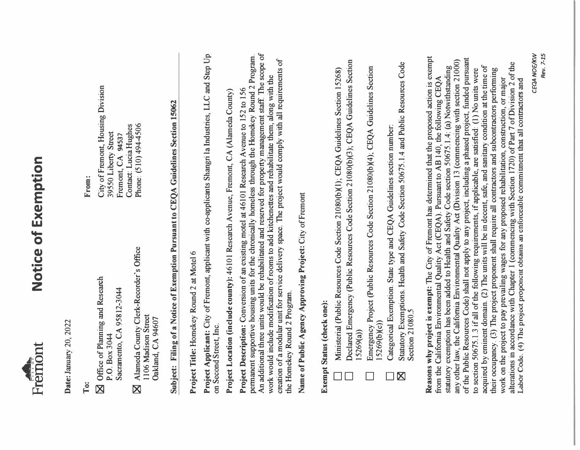

## **Notice of Exemption**  Notice of Exemption

**Date:** January 20, 2022 Date: January 20, 2022

**To:** 

- � Office of Planning and Research **N** Office of Planning and Research Sacramento, CA 95812-3044 Sacramento, CA 95812-3044 P.O. Box 3044 P.O. Box 3044
- � Alameda County Clerk-Recorder's Office Alameda County Clerk-Recorder's Office 1106 Madison Street 1106 Madison Street Oakland, CA 94607 Oakland, CA 94607  $\overline{\mathbf{X}}$

**From:** 

City of Fremont, Housing Division City of Fremont, Housing Division Contact: Lucia Hughes Phone: (510) 494-4506 Contact: Lucia Hughes Phone: (510) 494-4506 39550 Liberty Street 39550 Liberty Street Fremont, CA 94537 Fremont, CA **94537**

## **Subject: Filing of a Notice of Exemption Pursuant to CEQA Guidelines Section 15062**  Subject: Filing of a Notice of Exemption Pursuant to CEQA Guidelines Section 15062

**Project Title:** Homekey Round 2 at Motel 6 Project Title: Homekey Round 2 at Motel 6

**Project Applicant:** City of Fremont, applicant with co-applicants Shangri la Industries, LLC and Step Up Project Applicant: City of Fremont, applicant with co-applicants Shangri la Industries, LLC and Step Up on Second Street, Inc. on Second Street, Inc.

**Project Location (include county):** 46101 Research Avenue, Fremont, CA (Alameda County) Project Location (include county): 46101 Research Avenue, Fremont, CA (Alameda County)

An additional three units would be rehabilitated and reserved for property management staff. The scope of permanent supportive housing units for the chronically homeless through the Homekey Round 2 Program. An additional three units would be rehabilitated and reserved for property management staff. The scope of permanent supportive housing units for the chronically homeless through the Homekey Round 2 Program. creation of a modular unit for service delivery space. The project would comply with all requirements of creation of a modular unit for service delivery space. The project would comply with all requirements of work would include modification of rooms to add kitchenettes and rehabilitate them, along with the work would include modification of rooms to add kitchenettes and rehabilitate them, along with the Project Description: Conversion of an existing motel at 46101 Research Avenue to 152 to 156 **Project Description:** Conversion of an existing motel at 46101 Research Avenue to 152 to 156 the Homekey Round 2 Program. the Homekey Round 2 Program.

Name of Public Agency Approving Project: City of Fremont **Name of Public Agency Approving Project:** City of Fremont

## **Exempt Status (check one):**  Exempt Status (check one):

- D Ministerial (Public Resources Code Section 21080(b)(l); CEQA Guidelines Section 15268) Ministerial (Public Resources Code Section 21080(b)(1); CEQA Guidelines Section 15268)
- Declared Emergency (Public Resources Code Section 21080(b)(3); CEQA Guidelines Section Declared Emergency (Public Resources Code Section 21080(b)(3); CEQA Guidelines Section<br>15269(a))
	- Emergency Project (Public Resources Code Section 21080(b)(4); CEQA Guidelines Section Emergency Project (Public Resources Code Section 21080(b)(4); CEQA Guidelines Section 15269(b)(c))
		- D Categorical Exemption. State type and CEQA Guidelines section number: Categorical Exemption. State type and CEQA Guidelines section number:
- � Statutory Exemptions. Health and Safety Code Section 50675.1.4 and Public Resources Code Statutory Exemptions. Health and Safety Code Section 50675.1.4 and Public Resources Code Section 21080.5 Section 21080.5  $\overline{\mathbb{Z}}$

Reasons why project is exempt: The City of Fremont has determined that the proposed action is exempt **Reasons why project is exempt:** The City of Fremont has determined that the proposed action is exempt of the Public Resources Code) shall not apply to any project, including a phased project, funded pursuant of the Public Resources Code) shall not apply to any project, including a phased project, funded pursuant any other law, the California Environmental Quality Act (Division 13 (commencing with section 21000) any other law, the California Environmental Quality Act (Division 13 (commencing with section 21000) alterations in accordance with Chapter I (commencing with Section 1720) of Part 7 of Division 2 of the alterations in accordance with Chapter 1 (commencing with Section 1720) of Part 7 of Division 2 of the Labor Code. (4) The project proponent obtains an enforceable commitment that all contractors and acquired by eminent domain. (2) The units will be in decent, safe, and sanitary condition at the time of acquired by eminent domain. (2) The units will be in decent, safe, and sanitary condition at the time of statutory exemption has been added to Health and Safety Code section 50675.1.4: (a) Notwithstanding statutory exemption has been added to Health and Safety Code section 50675.1.4: (a) Notwithstanding their occupancy. (3) The project proponent shall require all contractors and subcontractors performing to section 50675.1.3 if all of the following requirements, if applicable, are satisfied: (1) No units were to section 50675.1.3 if all of the following requirements, if applicable, are satisfied: (1) No units were their occupancy. (3) The project proponent shall require all contractors and subcontractors performing from the California Environmental Quality Act (CEQA). Pursuant to AB 140, the following CEQA from the California Environmental Quality Act (CEQA). Pursuant to AB 140, the following CEQA work on the project to pay prevailing wages for any proposed rehabilitation, construction, or major work on the project to pay prevailing wages for any proposed rehabilitation, construction, or major Labor Code. (4) The project proponent obtains an enforceable commitment that all contractors and